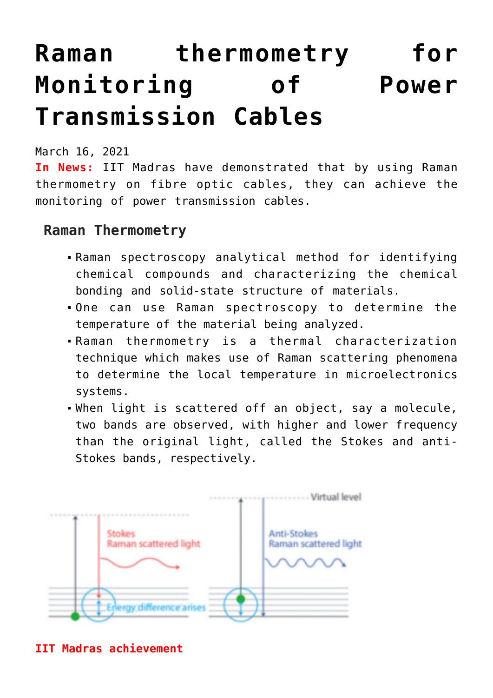# **[Raman thermometry for](https://journalsofindia.com/raman-thermometry-for-monitoring-of-power-transmission-cables/) [Monitoring of Power](https://journalsofindia.com/raman-thermometry-for-monitoring-of-power-transmission-cables/) [Transmission Cables](https://journalsofindia.com/raman-thermometry-for-monitoring-of-power-transmission-cables/)**

March 16, 2021

**In News:** IIT Madras have demonstrated that by using Raman thermometry on fibre optic cables, they can achieve the monitoring of power transmission cables.

## **Raman Thermometry**

- Raman spectroscopy analytical method for identifying chemical compounds and characterizing the chemical bonding and solid-state structure of materials.
- One can use Raman spectroscopy to determine the temperature of the material being analyzed.
- Raman thermometry is a thermal characterization technique which makes use of Raman scattering phenomena to determine the local temperature in microelectronics systems.
- When light is scattered off an object, say a molecule, two bands are observed, with higher and lower frequency than the original light, called the Stokes and anti-Stokes bands, respectively.



**IIT Madras achievement**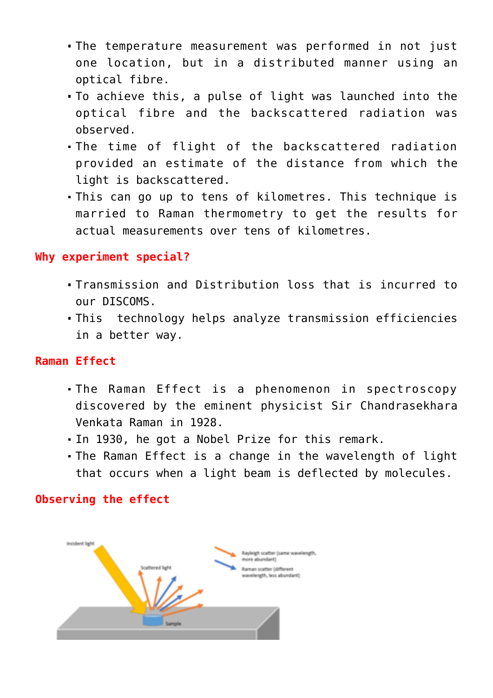- The temperature measurement was performed in not just one location, but in a distributed manner using an optical fibre.
- To achieve this, a pulse of light was launched into the optical fibre and the backscattered radiation was observed.
- The time of flight of the backscattered radiation provided an estimate of the distance from which the light is backscattered.
- This can go up to tens of kilometres. This technique is married to Raman thermometry to get the results for actual measurements over tens of kilometres.

#### **Why experiment special?**

- Transmission and Distribution loss that is incurred to our DISCOMS.
- This technology helps analyze transmission efficiencies in a better way.

#### **Raman Effect**

- The Raman Effect is a phenomenon in spectroscopy discovered by the eminent physicist Sir Chandrasekhara Venkata Raman in 1928.
- In 1930, he got a Nobel Prize for this remark.
- The Raman Effect is a change in the wavelength of light that occurs when a light beam is deflected by molecules.

### **Observing the effect**